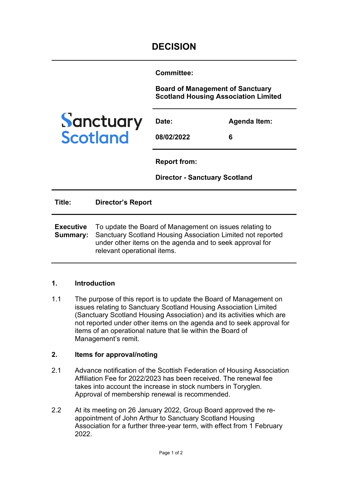**Committee:** 

**Board of Management of Sanctuary Scotland Housing Association Limited**



| Date:      | <b>Agenda Item:</b> |
|------------|---------------------|
| 08/02/2022 | 6                   |

**Report from:** 

**Director - Sanctuary Scotland**

**Title: Director's Report Executive Summary:**  To update the Board of Management on issues relating to Sanctuary Scotland Housing Association Limited not reported under other items on the agenda and to seek approval for relevant operational items.

## **1. Introduction**

1.1 The purpose of this report is to update the Board of Management on issues relating to Sanctuary Scotland Housing Association Limited (Sanctuary Scotland Housing Association) and its activities which are not reported under other items on the agenda and to seek approval for items of an operational nature that lie within the Board of Management's remit.

## **2. Items for approval/noting**

- 2.1 Advance notification of the Scottish Federation of Housing Association Affiliation Fee for 2022/2023 has been received. The renewal fee takes into account the increase in stock numbers in Toryglen. Approval of membership renewal is recommended.
- 2.2 At its meeting on 26 January 2022, Group Board approved the reappointment of John Arthur to Sanctuary Scotland Housing Association for a further three-year term, with effect from 1 February 2022.